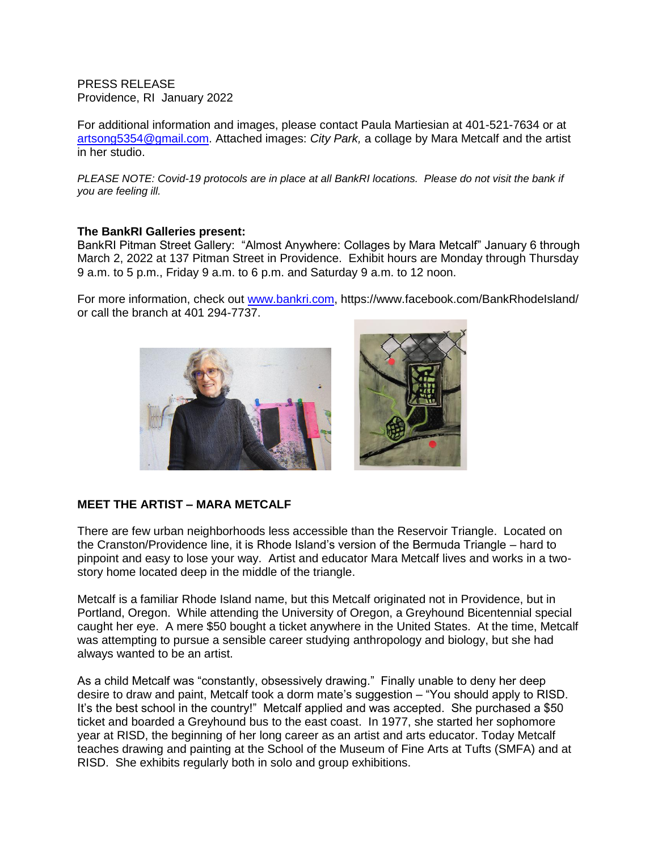PRESS RELEASE Providence, RI January 2022

For additional information and images, please contact Paula Martiesian at 401-521-7634 or at artsong5354@gmail.com. Attached images: *City Park,* a collage by Mara Metcalf and the artist in her studio.

*PLEASE NOTE: Covid-19 protocols are in place at all BankRI locations. Please do not visit the bank if you are feeling ill.*

## **The BankRI Galleries present:**

BankRI Pitman Street Gallery: "Almost Anywhere: Collages by Mara Metcalf" January 6 through March 2, 2022 at 137 Pitman Street in Providence. Exhibit hours are Monday through Thursday 9 a.m. to 5 p.m., Friday 9 a.m. to 6 p.m. and Saturday 9 a.m. to 12 noon.

For more information, check out [www.bankri.com,](http://www.bankri.com/) https://www.facebook.com/BankRhodeIsland/ or call the branch at 401 294-7737.



## **MEET THE ARTIST – MARA METCALF**

There are few urban neighborhoods less accessible than the Reservoir Triangle. Located on the Cranston/Providence line, it is Rhode Island's version of the Bermuda Triangle – hard to pinpoint and easy to lose your way. Artist and educator Mara Metcalf lives and works in a twostory home located deep in the middle of the triangle.

Metcalf is a familiar Rhode Island name, but this Metcalf originated not in Providence, but in Portland, Oregon. While attending the University of Oregon, a Greyhound Bicentennial special caught her eye. A mere \$50 bought a ticket anywhere in the United States. At the time, Metcalf was attempting to pursue a sensible career studying anthropology and biology, but she had always wanted to be an artist.

As a child Metcalf was "constantly, obsessively drawing." Finally unable to deny her deep desire to draw and paint, Metcalf took a dorm mate's suggestion – "You should apply to RISD. It's the best school in the country!" Metcalf applied and was accepted. She purchased a \$50 ticket and boarded a Greyhound bus to the east coast. In 1977, she started her sophomore year at RISD, the beginning of her long career as an artist and arts educator. Today Metcalf teaches drawing and painting at the School of the Museum of Fine Arts at Tufts (SMFA) and at RISD. She exhibits regularly both in solo and group exhibitions.